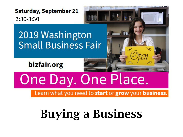**Saturday, September 21** 2:30-3:30

## 2019 Washington **Small Business Fair**

bizfair.org

# One Day. One Place.

Learn what you need to start or grow your business.

图面

# Buying a Business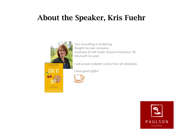### About the Speaker, Kris Fuehr



7yrs consulting or brokering Bought my own company. Graduate of UW Foster School of business '91 Microsoft 13 years

I will accept LinkedIn invites from all attendees

*I love good coffee!*



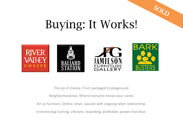

## Buying: It Works!









The joy of cheese. From packaged to playground.

Neighborhood bar. Where everyone knows your name.

Art as furniture. Online, retail, upscale with ongoing seller relationship.

In-home dog training. Lifestyle, rewarding, profitable, proven franchise.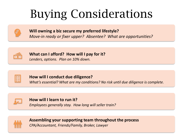# Buying Considerations

#### **Will owning a biz secure my preferred lifestyle?**

*Move-in ready or fixer upper? Absentee? What are opportunities?*



#### **What can I afford? How will I pay for it?**

*Lenders, options. Plan on 10% down.*



#### **How will I conduct due diligence?**

*What's essential? What are my conditions? No risk until due diligence is complete.* 



### **How will I learn to run it?**

*Employees generally stay. How long will seller train?*



#### **Assembling your supporting team throughout the process** *CPA/Accountant, Friends/Family, Broker, Lawyer*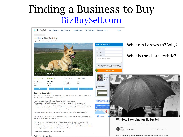### Finding a Business to Buy [BizBuySell.com](http://www.bizbuysell.com/)



Detailed Information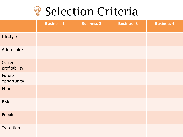## **Selection Criteria**

|                          | <b>Business 1</b> | <b>Business 2</b> | <b>Business 3</b> | <b>Business 4</b> |
|--------------------------|-------------------|-------------------|-------------------|-------------------|
| Lifestyle                |                   |                   |                   |                   |
| Affordable?              |                   |                   |                   |                   |
| Current<br>profitability |                   |                   |                   |                   |
| Future<br>opportunity    |                   |                   |                   |                   |
| <b>Effort</b>            |                   |                   |                   |                   |
| Risk                     |                   |                   |                   |                   |
| People                   |                   |                   |                   |                   |
| Transition               |                   |                   |                   |                   |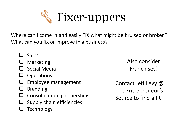

Where can I come in and easily FIX what might be bruised or broken? What can you fix or improve in a business?

- ❑ Sales
- **Marketing**
- ❑ Social Media
- ❑ Operations
- ❑ Employee management
- ❑ Branding
- ❑ Consolidation, partnerships
- Supply chain efficiencies
- ❑ Technology

Also consider Franchises!

Contact Jeff Levy @ The Entrepreneur's Source to find a fit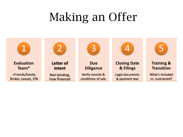# Making an Offer

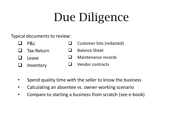# Due Diligence

#### Typical documents to review:

| $\Box$ | PQ                | $\Box$ Customer lists (redacted) |
|--------|-------------------|----------------------------------|
|        | $\Box$ Tax-Return | <b>Balance Sheet</b>             |
|        | $\Box$ Lease      | $\Box$ Maintenance records       |
|        | $\Box$ Inventory  | $\Box$ Vendor contracts          |

- Spend quality time with the seller to know the business
- Calculating an absentee vs. owner-working scenario
- Compare to starting a business from scratch (see e-book)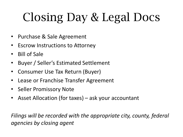# Closing Day & Legal Docs

- Purchase & Sale Agreement
- Escrow Instructions to Attorney
- Bill of Sale
- Buyer / Seller's Estimated Settlement
- Consumer Use Tax Return (Buyer)
- Lease or Franchise Transfer Agreement
- Seller Promissory Note
- Asset Allocation (for taxes) ask your accountant

*Filings will be recorded with the appropriate city, county, federal agencies by closing agent*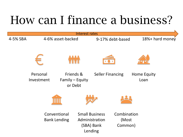# How can I finance a business?

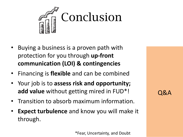

- Buying a business is a proven path with protection for you through **up-front communication (LOI) & contingencies**
- Financing is **flexible** and can be combined
- Your job is to **assess risk and opportunity; add value** without getting mired in FUD\*!
- Transition to absorb maximum information.
- **Expect turbulence** and know you will make it through.

Q&A